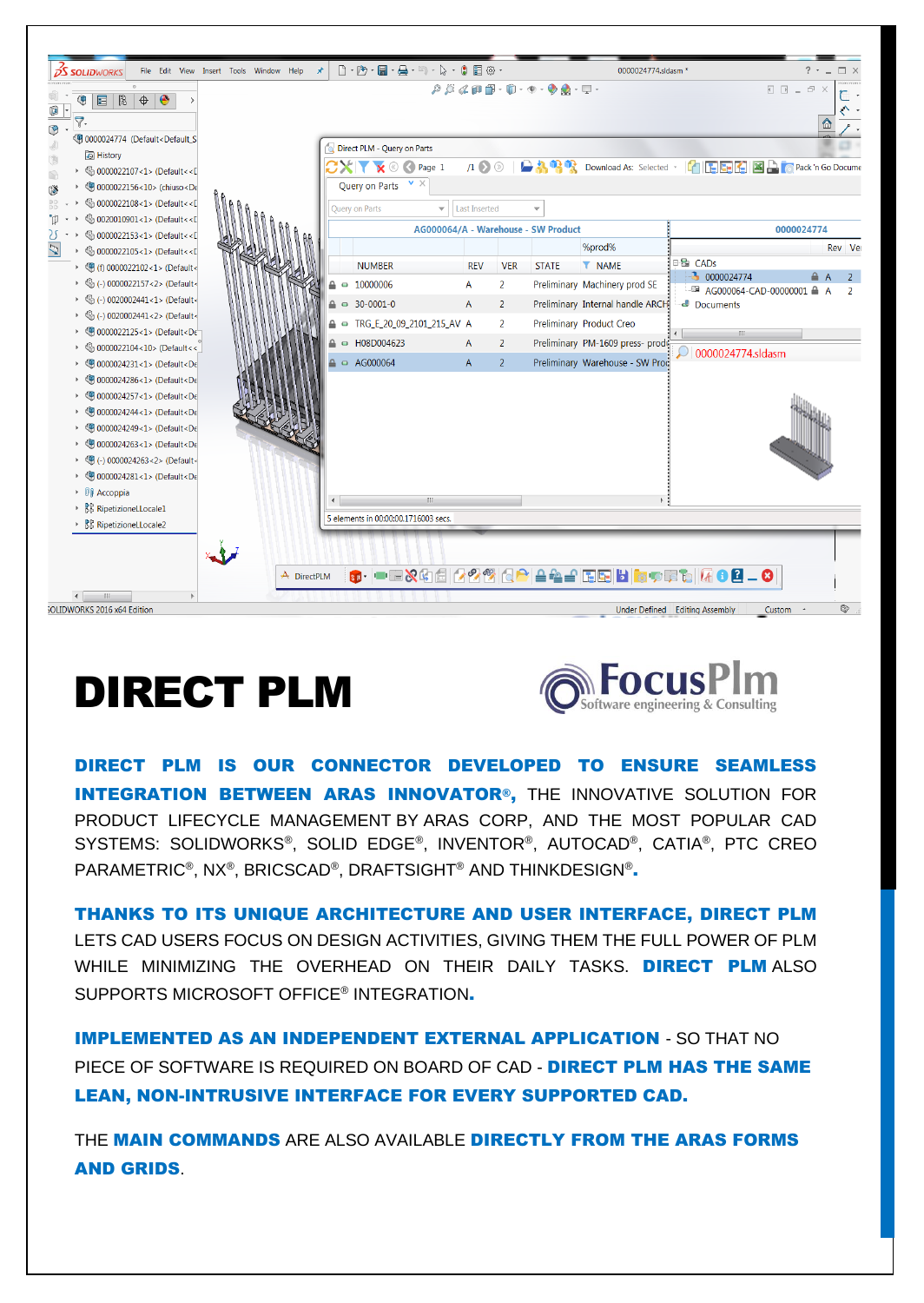

## DIRECT PLM



DIRECT PLM IS OUR CONNECTOR DEVELOPED TO ENSURE SEAMLESS INTEGRATION BETWEEN ARAS INNOVATOR®, THE INNOVATIVE SOLUTION FOR PRODUCT LIFECYCLE MANAGEMENT BY [ARAS CORP,](http://www.aras.com/company/) AND THE MOST POPULAR CAD SYSTEMS: SOLIDWORKS®, SOLID EDGE®, INVENTOR®, AUTOCAD®, CATIA®, PTC CREO PARAMETRIC®, NX®, BRICSCAD®, DRAFTSIGHT® AND THINKDESIGN®<mark>.</mark>

THANKS TO ITS UNIQUE ARCHITECTURE AND USER INTERFACE, DIRECT PLM LETS CAD USERS FOCUS ON DESIGN ACTIVITIES, GIVING THEM THE FULL POWER OF PLM WHILE MINIMIZING THE OVERHEAD ON THEIR DAILY TASKS. DIRECT PLM ALSO SUPPORTS MICROSOFT OFFICE® INTEGRATION.

IMPLEMENTED AS AN INDEPENDENT EXTERNAL APPLICATION - SO THAT NO PIECE OF SOFTWARE IS REQUIRED ON BOARD OF CAD - DIRECT PLM HAS THE SAME LEAN, NON-INTRUSIVE INTERFACE FOR EVERY SUPPORTED CAD.

THE MAIN COMMANDS ARE ALSO AVAILABLE DIRECTLY FROM THE ARAS FORMS AND GRIDS.